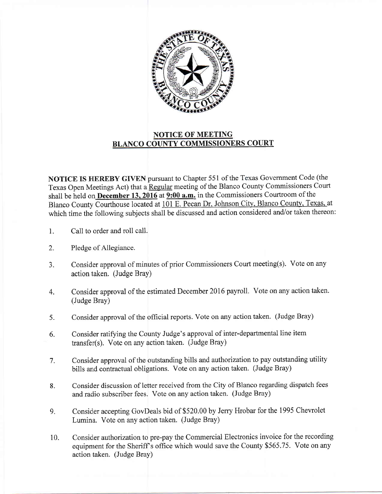

## NOTICE OF MEETING BLANCO COUNTY COMMISSIONERS COURT

NOTICE IS HEREBY GIVEN pursuant to Chapter 551 of the Texas Government Code (the Texas Open Meetings Act) that a Regular meeting of the Blanco County Commissioners Court shall be held on December 13, 2016 at 9:00 a.m. in the Commissioners Courtroom of the Blanco County Courthouse located at 101 E. Pecan Dr, Johnson City, Blanco County, Texas, at which time the following subjects shall be discussed and action considered and/or taken thereon:

- 1. Call to order and roll call.
- 2. Pledge of Allegiance.
- 3. Consider approval of minutes of prior Commissioners Court meeting(s). Vote on any action 1aken. (Judge Bray)
- 4. Consider approval of the estimated December 2016 payroll. Vote on any action taken. (Judge Bray)
- 5. Consider approval of the official reports. Vote on any action taken. (Judge Bray)
- 6. Consider ratiffing the County Judge's approval of inter-departmental line item transfer(s). Vote on any action taken. (Judge Bray)
- 7. Consider approval of the outstanding bills and authorization to pay outstanding utility bills and contractual obligations. Vote on any action taken. (Judge Bray)
- 8. Consider discussion of letter received from the City of Blanco regarding dispatch fees and radio subscriber fees. Vote on any action taken. (Judge Bray)
- 9. Consider accepting GovDeals bid of \$520.00 by Jerry Hrobar for the 1995 Chevrolet Lumina. Vote on any action taken. (Judge Bray)
- 10. Consider authorization to pre-pay the Commercial Electronics invoice for the recording equipment for the Sheriff's office which would save the County \$565.75. Vote on any action taken. (Judge Bray)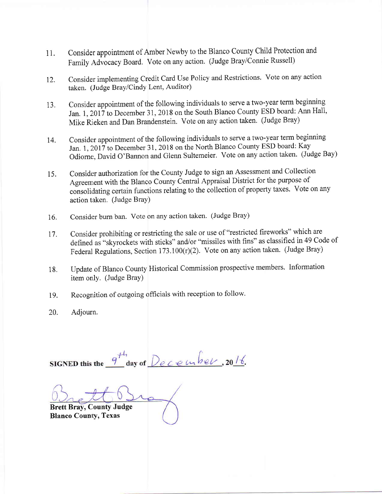- 1i. Consider appointment of Amber Newby to the Blanco County Child Protection and Family Advocacy Board. Vote on any action. (Judge Bray/Connie Russell)
- 12. Consider implementing Credit Card Use Policy and Restrictions. Vote on any action taken. (Judge Bray/Cindy Lent, Auditor)
- 13. Consider appointment of the following individuals to serve a two-year term beginning Jan. 1, 2017 to December 31, 2018 on the South Blanco County ESD board: Ann Hall, Mike Rieken and Dan Brandenstein. Vote on any action taken. (Judge Bray)
- Consider appointment of the following individuals to serve a two-year term beginning Jan, 1, 2017 to December 31, 2018 on the North Blanco County ESD board: Kay Odiome, David O'Bannon and Glenn Sultemeier. Vote on any action taken. (Judge Bay) 14.
- Consider authorization for the County Judge to sign an Assessment and Collection Agreement with the Blanco County Central Appraisal District for the purpose of consolidating certain functions relating to the collection of property taxes. Vote on any action taken. (Judge Bray) 15.
- Consider burn ban. Vote on any action taken. (Judge Bray) 16.
- Consider prohibiting or restricting the sale or use of "restricted fireworks" which are defined as "skyrockets with sticks" and/or "missiles with fins" as classified in 49 Code of Fecleral Regulations, Section 173.100(r)(2). Vote on any action taken. (Judge Bray) 17.
- Update of Blanco County Historical Commission prospective members. Information item only. (Judge Bray) 18.
- Recognition of outgoing officials with reception to follow. 19.
- Adiourn. 20.

 $\frac{q^{th}}{1}$  day of December, 2016. SIGNED this the

Brett Bray, County Judge Blanco County, Texas